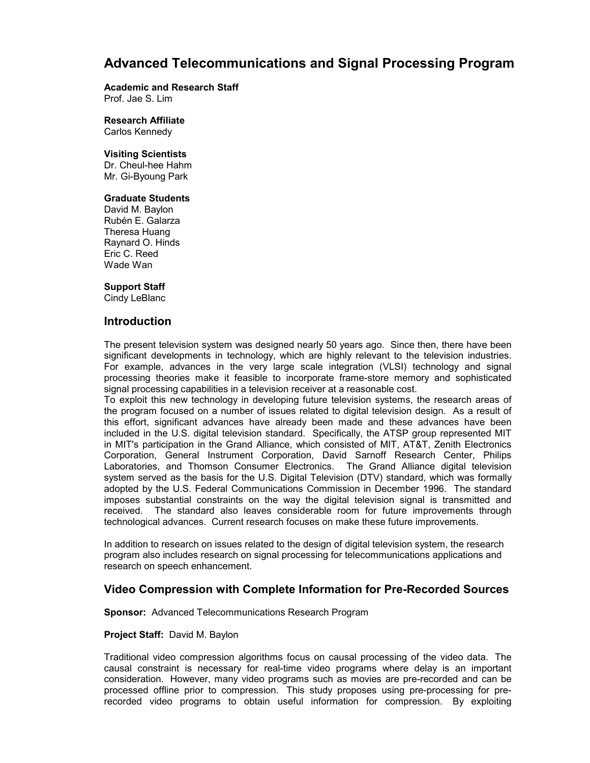# **Advanced Telecommunications and Signal Processing Program**

## **Academic and Research Staff**

Prof. Jae S. Lim

**Research Affiliate**  Carlos Kennedy

### **Visiting Scientists**

Dr. Cheul-hee Hahm Mr. Gi-Byoung Park

### **Graduate Students**

David M. Baylon Rubén E. Galarza Theresa Huang Raynard O. Hinds Eric C. Reed Wade Wan

### **Support Staff**

Cindy LeBlanc

### **Introduction**

The present television system was designed nearly 50 years ago. Since then, there have been significant developments in technology, which are highly relevant to the television industries. For example, advances in the very large scale integration (VLSI) technology and signal processing theories make it feasible to incorporate frame-store memory and sophisticated signal processing capabilities in a television receiver at a reasonable cost.

To exploit this new technology in developing future television systems, the research areas of the program focused on a number of issues related to digital television design. As a result of this effort, significant advances have already been made and these advances have been included in the U.S. digital television standard. Specifically, the ATSP group represented MIT in MIT's participation in the Grand Alliance, which consisted of MIT, AT&T, Zenith Electronics Corporation, General Instrument Corporation, David Sarnoff Research Center, Philips Laboratories, and Thomson Consumer Electronics. The Grand Alliance digital television system served as the basis for the U.S. Digital Television (DTV) standard, which was formally adopted by the U.S. Federal Communications Commission in December 1996. The standard imposes substantial constraints on the way the digital television signal is transmitted and received. The standard also leaves considerable room for future improvements through technological advances. Current research focuses on make these future improvements.

In addition to research on issues related to the design of digital television system, the research program also includes research on signal processing for telecommunications applications and research on speech enhancement.

### **Video Compression with Complete Information for Pre-Recorded Sources**

**Sponsor:** Advanced Telecommunications Research Program

### **Project Staff:** David M. Baylon

Traditional video compression algorithms focus on causal processing of the video data. The causal constraint is necessary for real-time video programs where delay is an important consideration. However, many video programs such as movies are pre-recorded and can be processed offline prior to compression. This study proposes using pre-processing for prerecorded video programs to obtain useful information for compression. By exploiting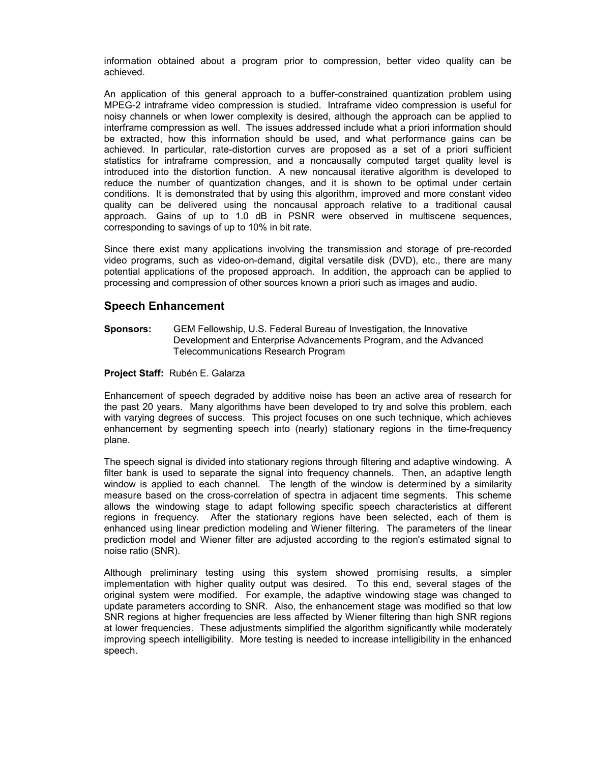information obtained about a program prior to compression, better video quality can be achieved.

An application of this general approach to a buffer-constrained quantization problem using MPEG-2 intraframe video compression is studied. Intraframe video compression is useful for noisy channels or when lower complexity is desired, although the approach can be applied to interframe compression as well. The issues addressed include what a priori information should be extracted, how this information should be used, and what performance gains can be achieved. In particular, rate-distortion curves are proposed as a set of a priori sufficient statistics for intraframe compression, and a noncausally computed target quality level is introduced into the distortion function. A new noncausal iterative algorithm is developed to reduce the number of quantization changes, and it is shown to be optimal under certain conditions. It is demonstrated that by using this algorithm, improved and more constant video quality can be delivered using the noncausal approach relative to a traditional causal approach. Gains of up to 1.0 dB in PSNR were observed in multiscene sequences, corresponding to savings of up to 10% in bit rate.

Since there exist many applications involving the transmission and storage of pre-recorded video programs, such as video-on-demand, digital versatile disk (DVD), etc., there are many potential applications of the proposed approach. In addition, the approach can be applied to processing and compression of other sources known a priori such as images and audio.

# **Speech Enhancement**

**Sponsors:** GEM Fellowship, U.S. Federal Bureau of Investigation, the Innovative Development and Enterprise Advancements Program, and the Advanced Telecommunications Research Program

### **Project Staff:** Rubén E. Galarza

Enhancement of speech degraded by additive noise has been an active area of research for the past 20 years. Many algorithms have been developed to try and solve this problem, each with varying degrees of success. This project focuses on one such technique, which achieves enhancement by segmenting speech into (nearly) stationary regions in the time-frequency plane.

The speech signal is divided into stationary regions through filtering and adaptive windowing. A filter bank is used to separate the signal into frequency channels. Then, an adaptive length window is applied to each channel. The length of the window is determined by a similarity measure based on the cross-correlation of spectra in adjacent time segments. This scheme allows the windowing stage to adapt following specific speech characteristics at different regions in frequency. After the stationary regions have been selected, each of them is enhanced using linear prediction modeling and Wiener filtering. The parameters of the linear prediction model and Wiener filter are adjusted according to the region's estimated signal to noise ratio (SNR).

Although preliminary testing using this system showed promising results, a simpler implementation with higher quality output was desired. To this end, several stages of the original system were modified. For example, the adaptive windowing stage was changed to update parameters according to SNR. Also, the enhancement stage was modified so that low SNR regions at higher frequencies are less affected by Wiener filtering than high SNR regions at lower frequencies. These adjustments simplified the algorithm significantly while moderately improving speech intelligibility. More testing is needed to increase intelligibility in the enhanced speech.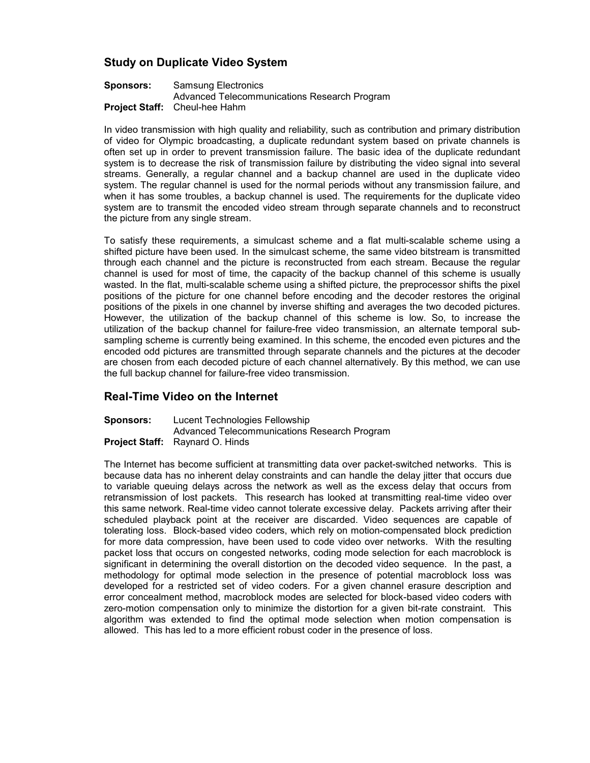# **Study on Duplicate Video System**

#### **Sponsors:** Samsung Electronics Advanced Telecommunications Research Program **Project Staff:** Cheul-hee Hahm

In video transmission with high quality and reliability, such as contribution and primary distribution of video for Olympic broadcasting, a duplicate redundant system based on private channels is often set up in order to prevent transmission failure. The basic idea of the duplicate redundant system is to decrease the risk of transmission failure by distributing the video signal into several streams. Generally, a regular channel and a backup channel are used in the duplicate video system. The regular channel is used for the normal periods without any transmission failure, and when it has some troubles, a backup channel is used. The requirements for the duplicate video system are to transmit the encoded video stream through separate channels and to reconstruct the picture from any single stream.

To satisfy these requirements, a simulcast scheme and a flat multi-scalable scheme using a shifted picture have been used. In the simulcast scheme, the same video bitstream is transmitted through each channel and the picture is reconstructed from each stream. Because the regular channel is used for most of time, the capacity of the backup channel of this scheme is usually wasted. In the flat, multi-scalable scheme using a shifted picture, the preprocessor shifts the pixel positions of the picture for one channel before encoding and the decoder restores the original positions of the pixels in one channel by inverse shifting and averages the two decoded pictures. However, the utilization of the backup channel of this scheme is low. So, to increase the utilization of the backup channel for failure-free video transmission, an alternate temporal subsampling scheme is currently being examined. In this scheme, the encoded even pictures and the encoded odd pictures are transmitted through separate channels and the pictures at the decoder are chosen from each decoded picture of each channel alternatively. By this method, we can use the full backup channel for failure-free video transmission.

# **Real-Time Video on the Internet**

**Sponsors:** Lucent Technologies Fellowship Advanced Telecommunications Research Program **Project Staff:** Raynard O. Hinds

The Internet has become sufficient at transmitting data over packet-switched networks. This is because data has no inherent delay constraints and can handle the delay jitter that occurs due to variable queuing delays across the network as well as the excess delay that occurs from retransmission of lost packets. This research has looked at transmitting real-time video over this same network. Real-time video cannot tolerate excessive delay. Packets arriving after their scheduled playback point at the receiver are discarded. Video sequences are capable of tolerating loss. Block-based video coders, which rely on motion-compensated block prediction for more data compression, have been used to code video over networks. With the resulting packet loss that occurs on congested networks, coding mode selection for each macroblock is significant in determining the overall distortion on the decoded video sequence. In the past, a methodology for optimal mode selection in the presence of potential macroblock loss was developed for a restricted set of video coders. For a given channel erasure description and error concealment method, macroblock modes are selected for block-based video coders with zero-motion compensation only to minimize the distortion for a given bit-rate constraint. This algorithm was extended to find the optimal mode selection when motion compensation is allowed. This has led to a more efficient robust coder in the presence of loss.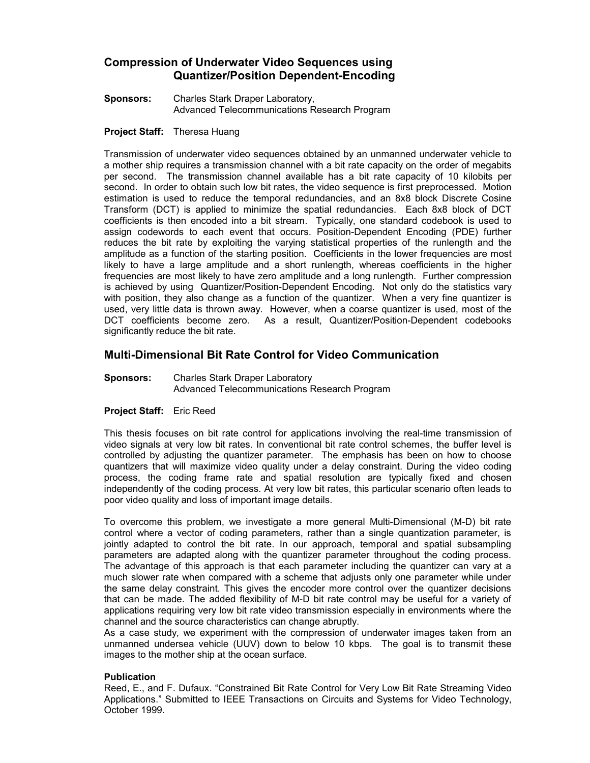# **Compression of Underwater Video Sequences using Quantizer/Position Dependent-Encoding**

**Sponsors:** Charles Stark Draper Laboratory, Advanced Telecommunications Research Program

### **Project Staff:** Theresa Huang

Transmission of underwater video sequences obtained by an unmanned underwater vehicle to a mother ship requires a transmission channel with a bit rate capacity on the order of megabits per second. The transmission channel available has a bit rate capacity of 10 kilobits per second. In order to obtain such low bit rates, the video sequence is first preprocessed. Motion estimation is used to reduce the temporal redundancies, and an 8x8 block Discrete Cosine Transform (DCT) is applied to minimize the spatial redundancies. Each 8x8 block of DCT coefficients is then encoded into a bit stream. Typically, one standard codebook is used to assign codewords to each event that occurs. Position-Dependent Encoding (PDE) further reduces the bit rate by exploiting the varying statistical properties of the runlength and the amplitude as a function of the starting position. Coefficients in the lower frequencies are most likely to have a large amplitude and a short runlength, whereas coefficients in the higher frequencies are most likely to have zero amplitude and a long runlength. Further compression is achieved by using Quantizer/Position-Dependent Encoding. Not only do the statistics vary with position, they also change as a function of the quantizer. When a very fine quantizer is used, very little data is thrown away. However, when a coarse quantizer is used, most of the DCT coefficients become zero. As a result, Quantizer/Position-Dependent codebooks significantly reduce the bit rate.

# **Multi-Dimensional Bit Rate Control for Video Communication**

**Sponsors:** Charles Stark Draper Laboratory Advanced Telecommunications Research Program

### **Project Staff:** Eric Reed

This thesis focuses on bit rate control for applications involving the real-time transmission of video signals at very low bit rates. In conventional bit rate control schemes, the buffer level is controlled by adjusting the quantizer parameter. The emphasis has been on how to choose quantizers that will maximize video quality under a delay constraint. During the video coding process, the coding frame rate and spatial resolution are typically fixed and chosen independently of the coding process. At very low bit rates, this particular scenario often leads to poor video quality and loss of important image details.

To overcome this problem, we investigate a more general Multi-Dimensional (M-D) bit rate control where a vector of coding parameters, rather than a single quantization parameter, is jointly adapted to control the bit rate. In our approach, temporal and spatial subsampling parameters are adapted along with the quantizer parameter throughout the coding process. The advantage of this approach is that each parameter including the quantizer can vary at a much slower rate when compared with a scheme that adjusts only one parameter while under the same delay constraint. This gives the encoder more control over the quantizer decisions that can be made. The added flexibility of M-D bit rate control may be useful for a variety of applications requiring very low bit rate video transmission especially in environments where the channel and the source characteristics can change abruptly.

As a case study, we experiment with the compression of underwater images taken from an unmanned undersea vehicle (UUV) down to below 10 kbps. The goal is to transmit these images to the mother ship at the ocean surface.

### **Publication**

Reed, E., and F. Dufaux. "Constrained Bit Rate Control for Very Low Bit Rate Streaming Video Applications." Submitted to IEEE Transactions on Circuits and Systems for Video Technology, October 1999.